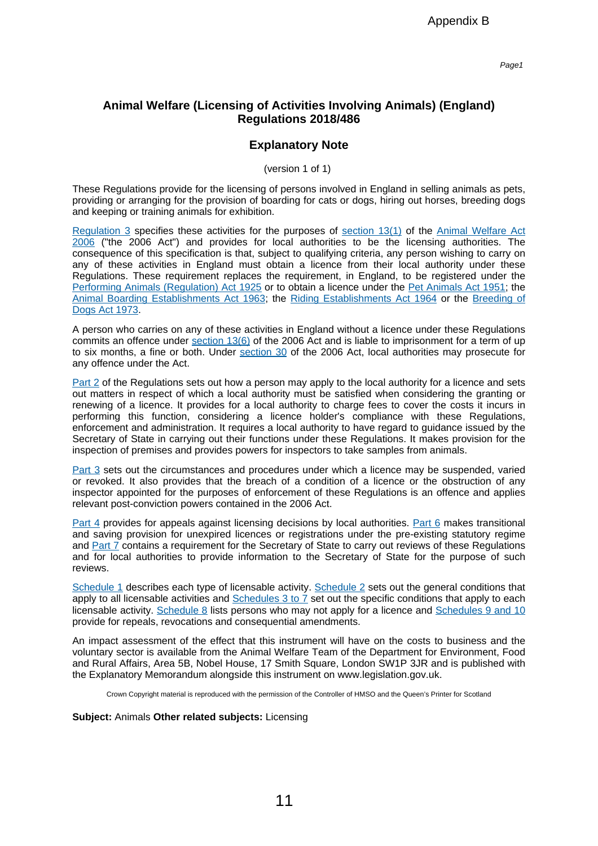Page1

## **Animal Welfare (Licensing of Activities Involving Animals) (England) Regulations 2018/486**

## **Explanatory Note**

(version 1 of 1)

These Regulations provide for the licensing of persons involved in England in selling animals as pets, providing or arranging for the provision of boarding for cats or dogs, hiring out horses, breeding dogs and keeping or training animals for exhibition.

[Regulation](http://login.westlaw.co.uk/maf/wluk/ext/app/document?src=doc&linktype=ref&context=12&crumb-action=replace&docguid=I148C3170444E11E8A9DFC32319AB60E0) 3 specifies these activities for the purposes of [section](http://login.westlaw.co.uk/maf/wluk/ext/app/document?src=doc&linktype=ref&context=12&crumb-action=replace&docguid=I73BEBDA07D1F11DB9833E1CC4921FF0C) 13(1) of the Animal [Welfare](http://login.westlaw.co.uk/maf/wluk/ext/app/document?src=doc&linktype=ref&context=12&crumb-action=replace&docguid=I87B114D07CF611DB8CB9C33D1B0B4462) Act [2006](http://login.westlaw.co.uk/maf/wluk/ext/app/document?src=doc&linktype=ref&context=12&crumb-action=replace&docguid=I87B114D07CF611DB8CB9C33D1B0B4462) ("the 2006 Act") and provides for local authorities to be the licensing authorities. The consequence of this specification is that, subject to qualifying criteria, any person wishing to carry on any of these activities in England must obtain a licence from their local authority under these Regulations. These requirement replaces the requirement, in England, to be registered under the Performing Animals [\(Regulation\)](http://login.westlaw.co.uk/maf/wluk/ext/app/document?src=doc&linktype=ref&context=12&crumb-action=replace&docguid=I60CAC260E42311DAA7CF8F68F6EE57AB) Act 1925 or to obtain a licence under the Pet [Animals](http://login.westlaw.co.uk/maf/wluk/ext/app/document?src=doc&linktype=ref&context=12&crumb-action=replace&docguid=I60A2C800E42311DAA7CF8F68F6EE57AB) Act 1951; the Animal Boarding [Establishments](http://login.westlaw.co.uk/maf/wluk/ext/app/document?src=doc&linktype=ref&context=12&crumb-action=replace&docguid=I608295D0E42311DAA7CF8F68F6EE57AB) Act 1963; the Riding [Establishments](http://login.westlaw.co.uk/maf/wluk/ext/app/document?src=doc&linktype=ref&context=12&crumb-action=replace&docguid=I60818461E42311DAA7CF8F68F6EE57AB) Act 1964 or the [Breeding](http://login.westlaw.co.uk/maf/wluk/ext/app/document?src=doc&linktype=ref&context=12&crumb-action=replace&docguid=I60554440E42311DAA7CF8F68F6EE57AB) of [Dogs](http://login.westlaw.co.uk/maf/wluk/ext/app/document?src=doc&linktype=ref&context=12&crumb-action=replace&docguid=I60554440E42311DAA7CF8F68F6EE57AB) Act 1973. Appendix B<br>
Activities Involving Animals) (England<br>
Activities Involving Animals) (England<br>
Ations 2018/486<br>
anatory Note<br>
presons involved in England in selling animals<br>
presons involved in England in selling animals<br>
pr

A person who carries on any of these activities in England without a licence under these Regulations commits an offence under [section](http://login.westlaw.co.uk/maf/wluk/ext/app/document?src=doc&linktype=ref&context=12&crumb-action=replace&docguid=I73BEBDA07D1F11DB9833E1CC4921FF0C) 13(6) of the 2006 Act and is liable to imprisonment for a term of up to six months, a fine or both. Under [section](http://login.westlaw.co.uk/maf/wluk/ext/app/document?src=doc&linktype=ref&context=12&crumb-action=replace&docguid=I01255C217D2111DB9833E1CC4921FF0C) 30 of the 2006 Act, local authorities may prosecute for any offence under the Act.

[Part](http://login.westlaw.co.uk/maf/wluk/ext/app/document?src=doc&linktype=ref&context=12&crumb-action=replace&docguid=I0993A910444E11E8A9DFC32319AB60E0) 2 of the Regulations sets out how a person may apply to the local authority for a licence and sets out matters in respect of which a local authority must be satisfied when considering the granting or renewing of a licence. It provides for a local authority to charge fees to cover the costs it incurs in performing this function, considering a licence holder's compliance with these Regulations, enforcement and administration. It requires a local authority to have regard to guidance issued by the Secretary of State in carrying out their functions under these Regulations. It makes provision for the inspection of premises and provides powers for inspectors to take samples from animals.

[Part](http://login.westlaw.co.uk/maf/wluk/ext/app/document?src=doc&linktype=ref&context=12&crumb-action=replace&docguid=IF7CE67B0444D11E8A9DFC32319AB60E0) 3 sets out the circumstances and procedures under which a licence may be suspended, varied or revoked. It also provides that the breach of a condition of a licence or the obstruction of any inspector appointed for the purposes of enforcement of these Regulations is an offence and applies relevant post-conviction powers contained in the 2006 Act.

[Part](http://login.westlaw.co.uk/maf/wluk/ext/app/document?src=doc&linktype=ref&context=12&crumb-action=replace&docguid=IEA17A9B0444D11E8A9DFC32319AB60E0) 4 provides for appeals against licensing decisions by local authorities. [Part](http://login.westlaw.co.uk/maf/wluk/ext/app/document?src=doc&linktype=ref&context=12&crumb-action=replace&docguid=IDEACD780444D11E8A9DFC32319AB60E0) 6 makes transitional and saving provision for unexpired licences or registrations under the pre-existing statutory regime and [Part](http://login.westlaw.co.uk/maf/wluk/ext/app/document?src=doc&linktype=ref&context=12&crumb-action=replace&docguid=I1DF84D70444E11E8A9DFC32319AB60E0) 7 contains a requirement for the Secretary of State to carry out reviews of these Regulations and for local authorities to provide information to the Secretary of State for the purpose of such reviews.

[Schedule](http://login.westlaw.co.uk/maf/wluk/ext/app/document?src=doc&linktype=ref&context=12&crumb-action=replace&docguid=I215A3D20444E11E8A9DFC32319AB60E0) 1 describes each type of licensable activity. Schedule 2 sets out the general conditions that apply to all licensable activities and  $S$ chedules  $3$  to  $\overline{7}$  set out the specific conditions that apply to each licensable activity. [Schedule](http://login.westlaw.co.uk/maf/wluk/ext/app/document?src=doc&linktype=ref&context=12&crumb-action=replace&docguid=I1C933F30444E11E8A9DFC32319AB60E0) 8 lists persons who may not apply for a licence and [Schedules](http://login.westlaw.co.uk/maf/wluk/ext/app/document?src=doc&linktype=ref&context=12&crumb-action=replace&docguid=I17EB3AF0444E11E8A9DFC32319AB60E0) 9 and 10 provide for repeals, revocations and consequential amendments.

An impact assessment of the effect that this instrument will have on the costs to business and the voluntary sector is available from the Animal Welfare Team of the Department for Environment, Food and Rural Affairs, Area 5B, Nobel House, 17 Smith Square, London SW1P 3JR and is published with the Explanatory Memorandum alongside this instrument on www.legislation.gov.uk.

Crown Copyright material is reproduced with the permission of the Controller of HMSO and the Queen's Printer for Scotland

**Subject:** Animals **Other related subjects:** Licensing